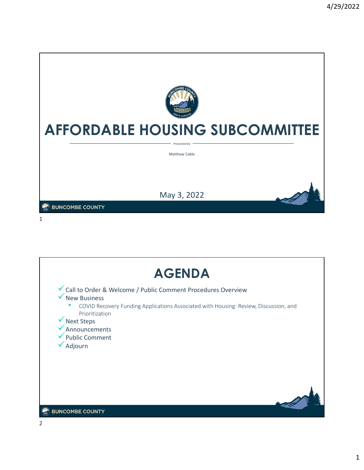